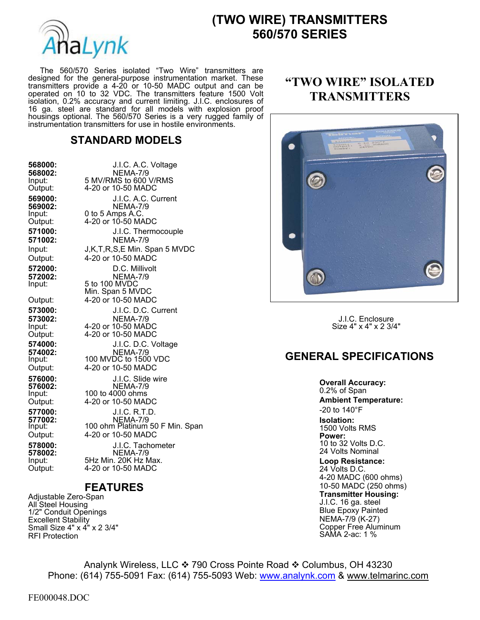

# **(TWO WIRE) TRANSMITTERS 560/570 SERIES**

 The 560/570 Series isolated "Two Wire" transmitters are designed for the general-purpose instrumentation market. These transmitters provide a 4-20 or 10-50 MADC output and can be operated on 10 to 32 VDC. The transmitters feature 1500 Volt isolation, 0.2% accuracy and current limiting. J.I.C. enclosures of 16 ga. steel are standard for all models with explosion proof housings optional. The 560/570 Series is a very rugged family of instrumentation transmitters for use in hostile environments.

#### **STANDARD MODELS**

| 568000:<br>568002:<br>Input:<br>Output:                      | J.I.C. A.C. Voltage<br><b>NEMA-7/9</b><br>5 MV/RMS to 600 V/RMS<br>4-20 or 10-50 MADC                                                    |                                                                                                       |
|--------------------------------------------------------------|------------------------------------------------------------------------------------------------------------------------------------------|-------------------------------------------------------------------------------------------------------|
| 569000:<br>569002:<br>Input:<br>Output:                      | J.I.C. A.C. Current<br><b>NEMA-7/9</b><br>0 to 5 Amps A.C.<br>4-20 or 10-50 MADC                                                         |                                                                                                       |
| 571000:<br>571002:<br>Input:<br>Output:                      | J.I.C. Thermocouple<br><b>NEMA-7/9</b><br>J,K,T,R,S,E Min. Span 5 MVDC<br>4-20 or 10-50 MADC                                             |                                                                                                       |
| 572000:<br>572002:<br>Input:<br>Output:                      | D.C. Millivolt<br><b>NEMA-7/9</b><br>5 to 100 MVDC<br>Min. Span 5 MVDC<br>4-20 or 10-50 MADC                                             |                                                                                                       |
| 573000:<br>573002:<br>Input:<br>Output:                      | J.I.C. D.C. Current<br><b>NEMA-7/9</b><br>4-20 or 10-50 MADC<br>4-20 or 10-50 MADC                                                       | J.I.C. Enclosure<br>Size 4" x 4" x 2 3/4"                                                             |
| 574000:<br>574002:<br>Input:<br>Output:                      | J.I.C. D.C. Voltage<br><b>NEMA-7/9</b><br>100 MVDC to 1500 VDC<br>4-20 or 10-50 MADC                                                     | <b>GENERAL SPECIFICA</b>                                                                              |
| 576000:<br>576002:<br>Input:<br>Output:<br>577000:           | J.I.C. Slide wire<br><b>NEMA-7/9</b><br>100 to 4000 ohms<br>4-20 or 10-50 MADC<br><b>J.I.C. R.T.D.</b>                                   | <b>Overall Accuracy:</b><br>0.2% of Span<br><b>Ambient Temperature</b><br>-20 to 140°F                |
| 577002:<br>Input:<br>Output:<br>578000:<br>578002:<br>Input: | <b>NEMA-7/9</b><br>100 ohm Platinum 50 F Min. Span<br>4-20 or 10-50 MADC<br>J.I.C. Tachometer<br><b>NEMA-7/9</b><br>5Hz Min. 20K Hz Max. | Isolation:<br>1500 Volts RMS<br>Power:<br>10 to 32 Volts D.C.<br>24 Volts Nominal<br>Loop Resistance: |
| Output:                                                      | 4-20 or 10-50 MADC                                                                                                                       | 24 Volts D.C.<br>$\overline{\phantom{a}}$                                                             |

#### **FEATURES**

Adjustable Zero-Span All Steel Housing 1/2" Conduit Openings Excellent Stability Small Size 4" x 4" x 2 3/4" RFI Protection

## **"TWO WIRE" ISOLATED TRANSMITTERS**



### **GENERAL SPECIFICATIONS**

**Loop Resistance:**  24 Volts D.C. 4-20 MADC (600 ohms) 10-50 MADC (250 ohms) **Transmitter Housing:** J.I.C. 16 ga. steel Blue Epoxy Painted NEMA-7/9 (K-27) Copper Free Aluminum SAMA 2-ac: 1 %

Analynk Wireless, LLC ❖ 790 Cross Pointe Road ❖ Columbus, OH 43230 Phone: (614) 755-5091 Fax: (614) 755-5093 Web: www.analynk.com & www.telmarinc.com